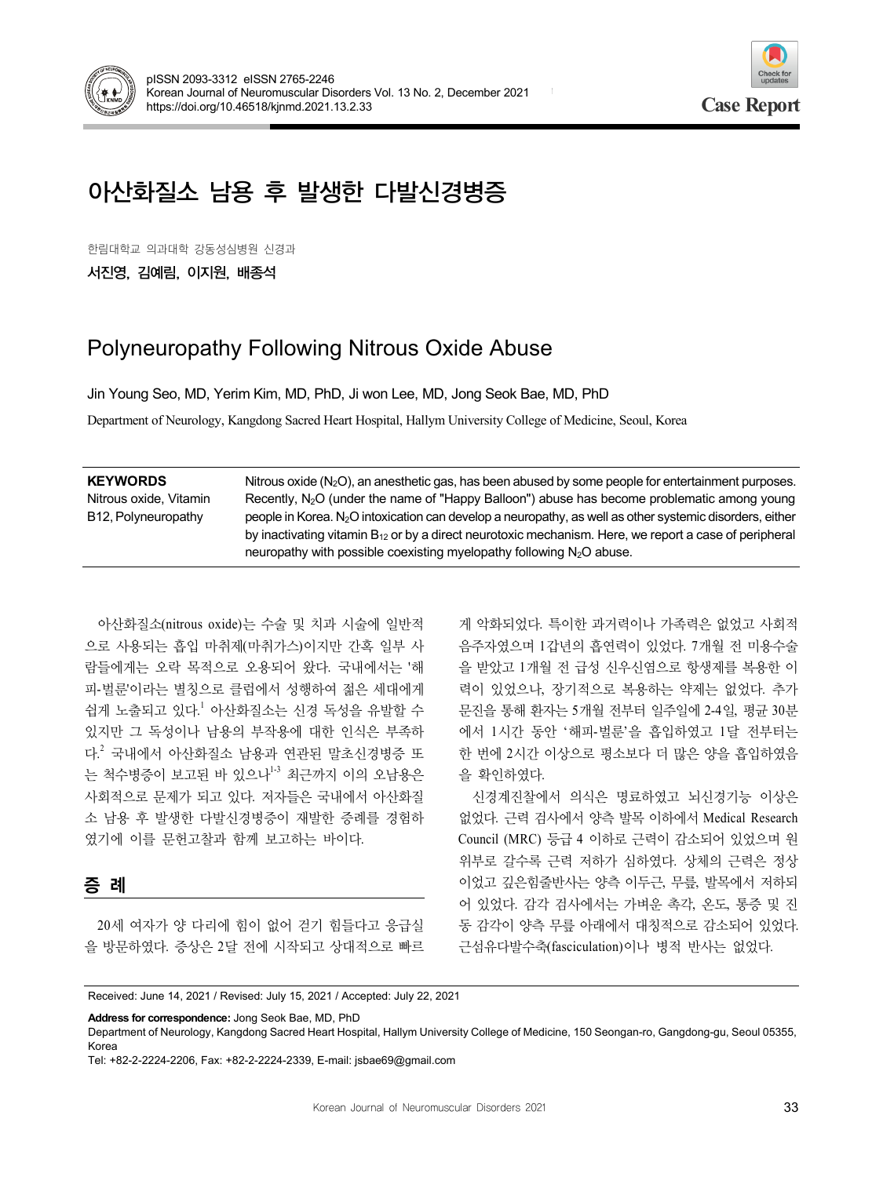



# 아산화질소 남용 후 발생한 다발신경병증

한림대학교 의과대학 강동성심병원 신경과

서진영, 김예림, 이지원, 배종석

## Polyneuropathy Following Nitrous Oxide Abuse

Jin Young Seo, MD, Yerim Kim, MD, PhD, Ji won Lee, MD, Jong Seok Bae, MD, PhD

Department of Neurology, Kangdong Sacred Heart Hospital, Hallym University College of Medicine, Seoul, Korea

| <b>KEYWORDS</b><br>Nitrous oxide, Vitamin<br>B12, Polyneuropathy | Nitrous oxide $(N_2O)$ , an anesthetic gas, has been abused by some people for entertainment purposes.<br>Recently, N <sub>2</sub> O (under the name of "Happy Balloon") abuse has become problematic among young<br>people in Korea. N <sub>2</sub> O intoxication can develop a neuropathy, as well as other systemic disorders, either<br>by inactivating vitamin $B_{12}$ or by a direct neurotoxic mechanism. Here, we report a case of peripheral |
|------------------------------------------------------------------|---------------------------------------------------------------------------------------------------------------------------------------------------------------------------------------------------------------------------------------------------------------------------------------------------------------------------------------------------------------------------------------------------------------------------------------------------------|
|                                                                  | neuropathy with possible coexisting myelopathy following $N_2O$ abuse.                                                                                                                                                                                                                                                                                                                                                                                  |

아산화질소(nitrous oxide)는 수술 및 치과 시술에 일반적 으로 사용되는 흡입 마취제(마취가스)이지만 간혹 일부 사 람들에게는 오락 목적으로 오용되어 왔다. 국내에서는 '해 피-벌룬'이라는 별칭으로 클럽에서 성행하여 젊은 세대에게 쉽게 노출되고 있다. <sup>1</sup> 아산화질소는 신경 독성을 유발할 수 있지만 그 독성이나 남용의 부작용에 대한 인식은 부족하 다. <sup>2</sup> 국내에서 아산화질소 남용과 연관된 말초신경병증 또 는 척수병증이 보고된 바 있으나<sup>1-3</sup> 최근까지 이의 오남용은 사회적으로 문제가 되고 있다. 저자들은 국내에서 아산화질 소 남용 후 발생한 다발신경병증이 재발한 증례를 경험하 였기에 이를 문헌고찰과 함께 보고하는 바이다.

### 증 례

20세 여자가 양 다리에 힘이 없어 걷기 힘들다고 응급실 을 방문하였다. 증상은 2달 전에 시작되고 상대적으로 빠르 게 악화되었다. 특이한 과거력이나 가족력은 없었고 사회적 음주자였으며 1갑년의 흡연력이 있었다. 7개월 전 미용수술 을 받았고 1개월 전 급성 신우신염으로 항생제를 복용한 이 력이 있었으나, 장기적으로 복용하는 약제는 없었다. 추가 문진을 통해 환자는 5개월 전부터 일주일에 2-4일, 평균 30분 에서 1시간 동안 '해피-벌룬'을 흡입하였고 1달 전부터는 한 번에 2시간 이상으로 평소보다 더 많은 양을 흡입하였음 을 확인하였다.

신경계진찰에서 의식은 명료하였고 뇌신경기능 이상은 없었다. 근력 검사에서 양측 발목 이하에서 Medical Research Council (MRC) 등급 4 이하로 근력이 감소되어 있었으며 원 위부로 갈수록 근력 저하가 심하였다. 상체의 근력은 정상 이었고 깊은힘줄반사는 양측 이두근, 무릎, 발목에서 저하되 어 있었다. 감각 검사에서는 가벼운 촉각, 온도, 통증 및 진 동 감각이 양측 무릎 아래에서 대칭적으로 감소되어 있었다. 근섬유다발수축(fasciculation)이나 병적 반사는 없었다.

Received: June 14, 2021 / Revised: July 15, 2021 / Accepted: July 22, 2021

**Address for correspondence:** Jong Seok Bae, MD, PhD

Department of Neurology, Kangdong Sacred Heart Hospital, Hallym University College of Medicine, 150 Seongan-ro, Gangdong-gu, Seoul 05355, Korea

Tel: +82-2-2224-2206, Fax: +82-2-2224-2339, E-mail: jsbae69@gmail.com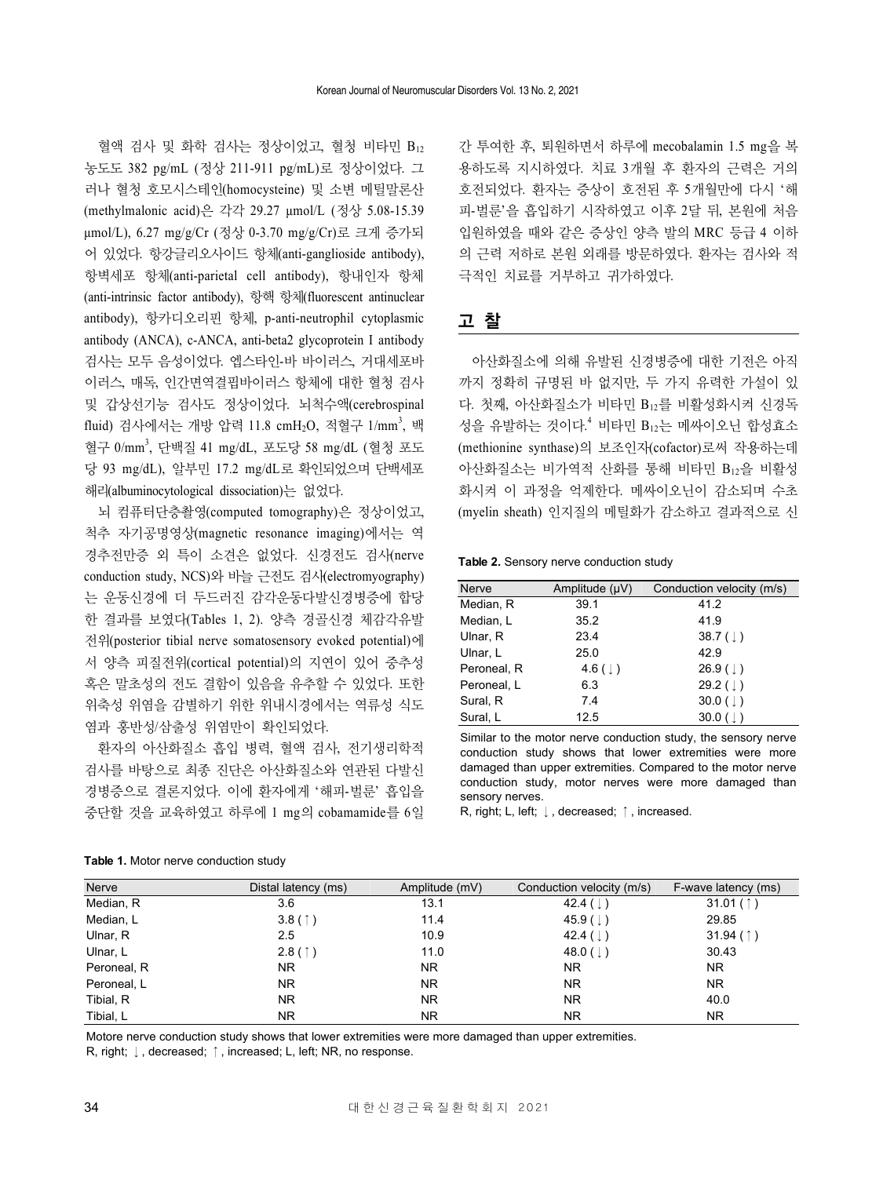혈액 검사 및 화학 검사는 정상이었고, 혈청 비타민 B12 농도도 382 pg/mL (정상 211-911 pg/mL)로 정상이었다. 그 러나 혈청 호모시스테인(homocysteine) 및 소변 메틸말론산 (methylmalonic acid)은 각각 29.27 μmol/L (정상 5.08-15.39 μmol/L), 6.27 mg/g/Cr (정상 0-3.70 mg/g/Cr)로 크게 증가되 어 있었다. 항강글리오사이드 항체(anti-ganglioside antibody), 항벽세포 항체(anti-parietal cell antibody), 항내인자 항체 (anti-intrinsic factor antibody), 항핵 항체(fluorescent antinuclear antibody), 항카디오리핀 항체, p-anti-neutrophil cytoplasmic antibody (ANCA), c-ANCA, anti-beta2 glycoprotein I antibody 검사는 모두 음성이었다. 엡스타인-바 바이러스, 거대세포바 이러스, 매독, 인간면역결핍바이러스 항체에 대한 혈청 검사 및 갑상선기능 검사도 정상이었다. 뇌척수액(cerebrospinal fluid) 검사에서는 개방 압력 11.8 cmH<sub>2</sub>O, 적혈구 1/mm<sup>3</sup>, 백 혈구 0/mm<sup>3</sup> , 단백질 41 mg/dL, 포도당 58 mg/dL (혈청 포도 당 93 mg/dL), 알부민 17.2 mg/dL로 확인되었으며 단백세포 해리(albuminocytological dissociation)는 없었다.

뇌 컴퓨터단층촬영(computed tomography)은 정상이었고, 척추 자기공명영상(magnetic resonance imaging)에서는 역 경추전만증 외 특이 소견은 없었다. 신경전도 검사(nerve conduction study, NCS)와 바늘 근전도 검사(electromyography) 는 운동신경에 더 두드러진 감각운동다발신경병증에 합당 한 결과를 보였다(Tables 1, 2). 양측 경골신경 체감각유발 전위(posterior tibial nerve somatosensory evoked potential)에 서 양측 피질전위(cortical potential)의 지연이 있어 중추성 혹은 말초성의 전도 결함이 있음을 유추할 수 있었다. 또한 위축성 위염을 감별하기 위한 위내시경에서는 역류성 식도 염과 홍반성/삼출성 위염만이 확인되었다.

환자의 아산화질소 흡입 병력, 혈액 검사, 전기생리학적 검사를 바탕으로 최종 진단은 아산화질소와 연관된 다발신 경병증으로 결론지었다. 이에 환자에게 '해피-벌룬' 흡입을 중단할 것을 교육하였고 하루에 1 mg의 cobamamide를 6일

간 투여한 후, 퇴원하면서 하루에 mecobalamin 1.5 mg을 복 용하도록 지시하였다. 치료 3개월 후 환자의 근력은 거의 호전되었다. 환자는 증상이 호전된 후 5개월만에 다시 '해 피-벌룬'을 흡입하기 시작하였고 이후 2달 뒤, 본원에 처음 입원하였을 때와 같은 증상인 양측 발의 MRC 등급 4 이하 의 근력 저하로 본원 외래를 방문하였다. 환자는 검사와 적 극적인 치료를 거부하고 귀가하였다.

#### 고 찰

아산화질소에 의해 유발된 신경병증에 대한 기전은 아직 까지 정확히 규명된 바 없지만, 두 가지 유력한 가설이 있 다. 첫째, 아사화질소가 비타민 B12를 비활성화시켜 시경독 성을 유발하는 것이다. <sup>4</sup> 비타민 B12는 메싸이오닌 합성효소 (methionine synthase)의 보조인자(cofactor)로써 작용하는데 아산화질소는 비가역적 산화를 통해 비타민 B12을 비활성 화시켜 이 과정을 억제한다. 메싸이오닌이 감소되며 수초 (myelin sheath) 인지질의 메틸화가 감소하고 결과적으로 신

#### **Table 2.** Sensory nerve conduction study

| Nerve       | Amplitude (µV)       | Conduction velocity (m/s) |
|-------------|----------------------|---------------------------|
| Median, R   | 39.1                 | 41.2                      |
| Median, L   | 35.2                 | 41.9                      |
| Ulnar, R    | 23.4                 | 38.7(1)                   |
| Ulnar, L    | 25.0                 | 42.9                      |
| Peroneal, R | 4.6 ( $\downarrow$ ) | $26.9$ ( $\downarrow$ )   |
| Peroneal, L | 6.3                  | 29.2 $( )$                |
| Sural, R    | 7.4                  | 30.0()                    |
| Sural, L    | 12.5                 | 30.0 ( $\downarrow$ )     |

Similar to the motor nerve conduction study, the sensory nerve conduction study shows that lower extremities were more damaged than upper extremities. Compared to the motor nerve conduction study, motor nerves were more damaged than sensory nerves.

R, right; L, left; ↓, decreased; ↑, increased.

| Table 1. Motor nerve conduction study |  |  |  |  |  |  |
|---------------------------------------|--|--|--|--|--|--|
|---------------------------------------|--|--|--|--|--|--|

| Nerve       | Distal latency (ms) | Amplitude (mV) | Conduction velocity (m/s) | F-wave latency (ms) |
|-------------|---------------------|----------------|---------------------------|---------------------|
| Median, R   | 3.6                 | 13.1           | 42.4 $(\downarrow)$       | 31.01 $(1)$         |
| Median, L   | 3.8(1)              | 11.4           | $45.9$ ( $\pm$ )          | 29.85               |
| Ulnar, R    | 2.5                 | 10.9           | 42.4 $(\dagger)$          | 31.94 $($ $)$       |
| Ulnar, L    | 2.8 $( )$           | 11.0           | 48.0 $($ $\vert$ $)$      | 30.43               |
| Peroneal, R | NR.                 | <b>NR</b>      | NR.                       | NR.                 |
| Peroneal, L | NR.                 | <b>NR</b>      | NR.                       | NR.                 |
| Tibial, R   | NR.                 | NR.            | NR.                       | 40.0                |
| Tibial, L   | NR.                 | <b>NR</b>      | <b>NR</b>                 | <b>NR</b>           |

Motore nerve conduction study shows that lower extremities were more damaged than upper extremities. R, right; ↓, decreased; ↑, increased; L, left; NR, no response.